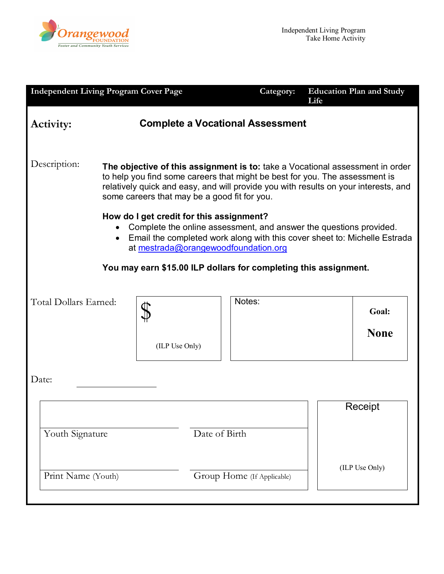

| <b>Independent Living Program Cover Page</b>                                                                                                                                            |                                                                                                                                                                                                                                                                                                                                                                                                                       | Category:                               | <b>Education Plan and Study</b><br>Life |  |
|-----------------------------------------------------------------------------------------------------------------------------------------------------------------------------------------|-----------------------------------------------------------------------------------------------------------------------------------------------------------------------------------------------------------------------------------------------------------------------------------------------------------------------------------------------------------------------------------------------------------------------|-----------------------------------------|-----------------------------------------|--|
| Activity:                                                                                                                                                                               |                                                                                                                                                                                                                                                                                                                                                                                                                       | <b>Complete a Vocational Assessment</b> |                                         |  |
| Description:                                                                                                                                                                            | The objective of this assignment is to: take a Vocational assessment in order<br>to help you find some careers that might be best for you. The assessment is<br>relatively quick and easy, and will provide you with results on your interests, and<br>some careers that may be a good fit for you.<br>How do I get credit for this assignment?<br>Complete the online assessment, and answer the questions provided. |                                         |                                         |  |
| • Email the completed work along with this cover sheet to: Michelle Estrada<br>at mestrada@orangewoodfoundation.org<br>You may earn \$15.00 ILP dollars for completing this assignment. |                                                                                                                                                                                                                                                                                                                                                                                                                       |                                         |                                         |  |
| Total Dollars Earned:                                                                                                                                                                   | (ILP Use Only)                                                                                                                                                                                                                                                                                                                                                                                                        | Notes:                                  | Goal:<br><b>None</b>                    |  |
| Date:                                                                                                                                                                                   |                                                                                                                                                                                                                                                                                                                                                                                                                       |                                         |                                         |  |
| Youth Signature<br>Date of Birth                                                                                                                                                        |                                                                                                                                                                                                                                                                                                                                                                                                                       |                                         | Receipt                                 |  |
| Print Name (Youth)                                                                                                                                                                      |                                                                                                                                                                                                                                                                                                                                                                                                                       | Group Home (If Applicable)              | (ILP Use Only)                          |  |